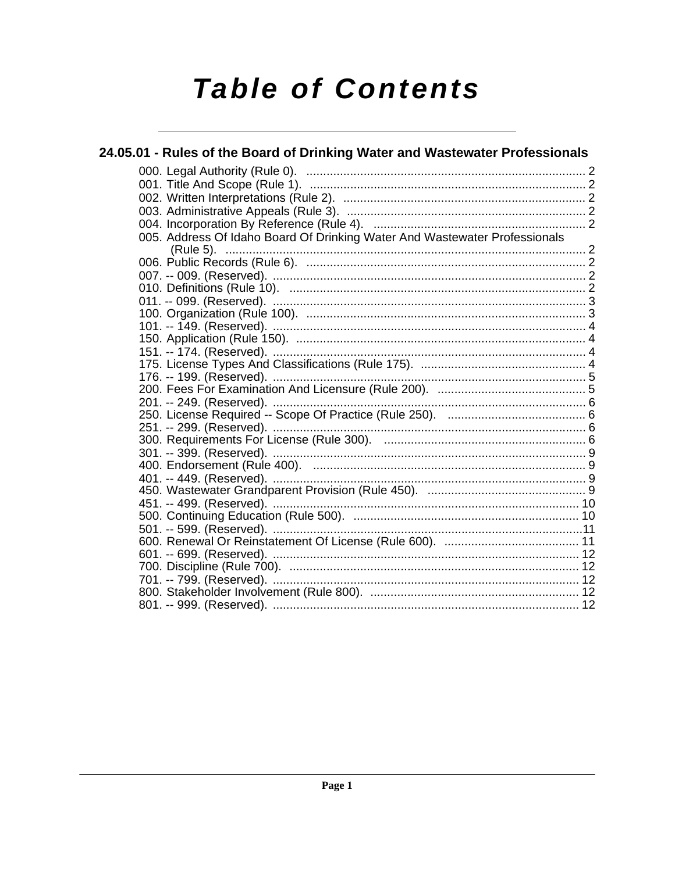# **Table of Contents**

| 24.05.01 - Rules of the Board of Drinking Water and Wastewater Professionals |  |
|------------------------------------------------------------------------------|--|
|                                                                              |  |
|                                                                              |  |
|                                                                              |  |
|                                                                              |  |
|                                                                              |  |
| 005. Address Of Idaho Board Of Drinking Water And Wastewater Professionals   |  |
|                                                                              |  |
|                                                                              |  |
|                                                                              |  |
|                                                                              |  |
|                                                                              |  |
|                                                                              |  |
|                                                                              |  |
|                                                                              |  |
|                                                                              |  |
|                                                                              |  |
|                                                                              |  |
|                                                                              |  |
|                                                                              |  |
|                                                                              |  |
|                                                                              |  |
|                                                                              |  |
|                                                                              |  |
|                                                                              |  |
|                                                                              |  |
|                                                                              |  |
|                                                                              |  |
|                                                                              |  |
|                                                                              |  |
|                                                                              |  |
|                                                                              |  |
|                                                                              |  |
|                                                                              |  |
|                                                                              |  |
|                                                                              |  |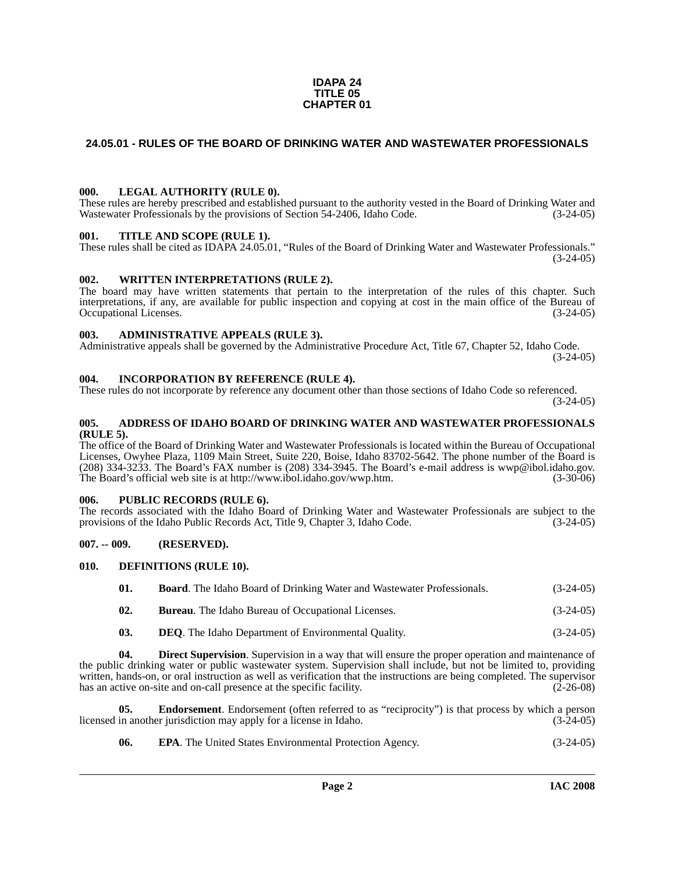#### **IDAPA 24 TITLE 05 CHAPTER 01**

#### <span id="page-1-0"></span>**24.05.01 - RULES OF THE BOARD OF DRINKING WATER AND WASTEWATER PROFESSIONALS**

#### <span id="page-1-1"></span>**000. LEGAL AUTHORITY (RULE 0).**

These rules are hereby prescribed and established pursuant to the authority vested in the Board of Drinking Water and Wastewater Professionals by the provisions of Section 54-2406, Idaho Code. (3-24-05)

#### <span id="page-1-2"></span>**001. TITLE AND SCOPE (RULE 1).**

These rules shall be cited as IDAPA 24.05.01, "Rules of the Board of Drinking Water and Wastewater Professionals."  $(3-24-05)$ 

#### <span id="page-1-3"></span>**002. WRITTEN INTERPRETATIONS (RULE 2).**

The board may have written statements that pertain to the interpretation of the rules of this chapter. Such interpretations, if any, are available for public inspection and copying at cost in the main office of the Bureau of Occupational Licenses. (3-24-05)

#### <span id="page-1-4"></span>**003. ADMINISTRATIVE APPEALS (RULE 3).**

Administrative appeals shall be governed by the Administrative Procedure Act, Title 67, Chapter 52, Idaho Code. (3-24-05)

#### <span id="page-1-5"></span>**004. INCORPORATION BY REFERENCE (RULE 4).**

These rules do not incorporate by reference any document other than those sections of Idaho Code so referenced. (3-24-05)

#### <span id="page-1-6"></span>**005. ADDRESS OF IDAHO BOARD OF DRINKING WATER AND WASTEWATER PROFESSIONALS (RULE 5).**

[The office of the Board of Drinking Water and Wastewater Professionals is located within the Bureau of Occupational](mailto:wwp@ibol.idaho.gov)  Licenses, Owyhee Plaza, 1109 Main Street, Suite 220, Boise, Idaho 83702-5642. The phone number of the Board is (208) 334-3233. The Board's FAX number is (208) 334-3945. The Board's e-mail address is wwp@ibol.idaho.gov. [The Board's official web site is at h](mailto:wwp@ibol.idaho.gov)[ttp://www.ibol.idaho.gov/wwp.htm. \(3-30-06\)](http://www.ibol.idaho.gov/wwp.htm)

#### <span id="page-1-7"></span>**006. PUBLIC RECORDS (RULE 6).**

The records associated with the Idaho Board of Drinking Water and Wastewater Professionals are subject to the provisions of the Idaho Public Records Act, Title 9, Chapter 3, Idaho Code. (3-24-05)

#### <span id="page-1-8"></span>**007. -- 009. (RESERVED).**

#### <span id="page-1-9"></span>**010. DEFINITIONS (RULE 10).**

<span id="page-1-11"></span>

| 01. | <b>Board.</b> The Idaho Board of Drinking Water and Wastewater Professionals. | $(3-24-05)$ |
|-----|-------------------------------------------------------------------------------|-------------|
| 02. | <b>Bureau.</b> The Idaho Bureau of Occupational Licenses.                     | $(3-24-05)$ |

<span id="page-1-10"></span>**03. DEQ**. The Idaho Department of Environmental Quality. (3-24-05)

**04. Direct Supervision**. Supervision in a way that will ensure the proper operation and maintenance of the public drinking water or public wastewater system. Supervision shall include, but not be limited to, providing written, hands-on, or oral instruction as well as verification that the instructions are being completed. The supervisor has an active on-site and on-call presence at the specific facility.  $(2-26-08)$ 

**05. Endorsement**. Endorsement (often referred to as "reciprocity") is that process by which a person in another jurisdiction may apply for a license in Idaho. (3-24-05) licensed in another jurisdiction may apply for a license in Idaho.

<span id="page-1-13"></span><span id="page-1-12"></span>**06. EPA**. The United States Environmental Protection Agency. (3-24-05)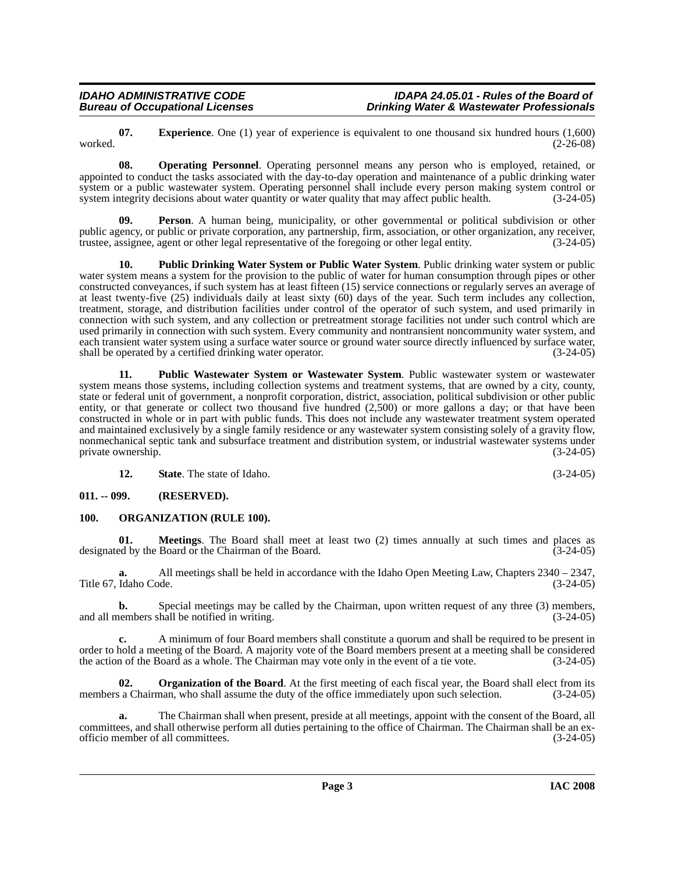**Page 3 IAC 2008**

## *IDAHO ADMINISTRATIVE CODE IDAPA 24.05.01 - Rules of the Board of*

<span id="page-2-2"></span>**07. Experience**. One (1) year of experience is equivalent to one thousand six hundred hours (1,600) (2-26-08) worked. (2-26-08)

**Drinking Water & Wastewater Professionals** 

<span id="page-2-3"></span>**08. Operating Personnel**. Operating personnel means any person who is employed, retained, or appointed to conduct the tasks associated with the day-to-day operation and maintenance of a public drinking water system or a public wastewater system. Operating personnel shall include every person making system control or system integrity decisions about water quantity or water quality that may affect public health. (3-24-05) system integrity decisions about water quantity or water quality that may affect public health.

<span id="page-2-5"></span>**Person**. A human being, municipality, or other governmental or political subdivision or other public agency, or public or private corporation, any partnership, firm, association, or other organization, any receiver, trustee, assignee, agent or other legal representative of the foregoing or other legal entity. (3-24-05)

<span id="page-2-6"></span>**10. Public Drinking Water System or Public Water System**. Public drinking water system or public water system means a system for the provision to the public of water for human consumption through pipes or other constructed conveyances, if such system has at least fifteen (15) service connections or regularly serves an average of at least twenty-five (25) individuals daily at least sixty (60) days of the year. Such term includes any collection, treatment, storage, and distribution facilities under control of the operator of such system, and used primarily in connection with such system, and any collection or pretreatment storage facilities not under such control which are used primarily in connection with such system. Every community and nontransient noncommunity water system, and each transient water system using a surface water source or ground water source directly influenced by surface water, shall be operated by a certified drinking water operator. (3-24-05)

<span id="page-2-7"></span>**11. Public Wastewater System or Wastewater System**. Public wastewater system or wastewater system means those systems, including collection systems and treatment systems, that are owned by a city, county, state or federal unit of government, a nonprofit corporation, district, association, political subdivision or other public entity, or that generate or collect two thousand five hundred (2,500) or more gallons a day; or that have been constructed in whole or in part with public funds. This does not include any wastewater treatment system operated and maintained exclusively by a single family residence or any wastewater system consisting solely of a gravity flow, nonmechanical septic tank and subsurface treatment and distribution system, or industrial wastewater systems under private ownership. (3-24-05)

<span id="page-2-4"></span>**12. State**. The state of Idaho. (3-24-05)

<span id="page-2-0"></span>**011. -- 099. (RESERVED).**

## <span id="page-2-1"></span>**100. ORGANIZATION (RULE 100).**

**01. Meetings**. The Board shall meet at least two (2) times annually at such times and places as designated by the Board or the Chairman of the Board. (3-24-05)

**a.** All meetings shall be held in accordance with the Idaho Open Meeting Law, Chapters 2340 – 2347, Title 67, Idaho Code. (3-24-05)

**b.** Special meetings may be called by the Chairman, upon written request of any three (3) members, nembers shall be notified in writing. and all members shall be notified in writing.

**c.** A minimum of four Board members shall constitute a quorum and shall be required to be present in order to hold a meeting of the Board. A majority vote of the Board members present at a meeting shall be considered the action of the Board as a whole. The Chairman may vote only in the event of a tie vote. (3-24-05)

**02. Organization of the Board**. At the first meeting of each fiscal year, the Board shall elect from its members a Chairman, who shall assume the duty of the office immediately upon such selection.  $(3-24-05)$ 

**a.** The Chairman shall when present, preside at all meetings, appoint with the consent of the Board, all committees, and shall otherwise perform all duties pertaining to the office of Chairman. The Chairman shall be an ex-<br>officio member of all committees. (3-24-05) officio member of all committees.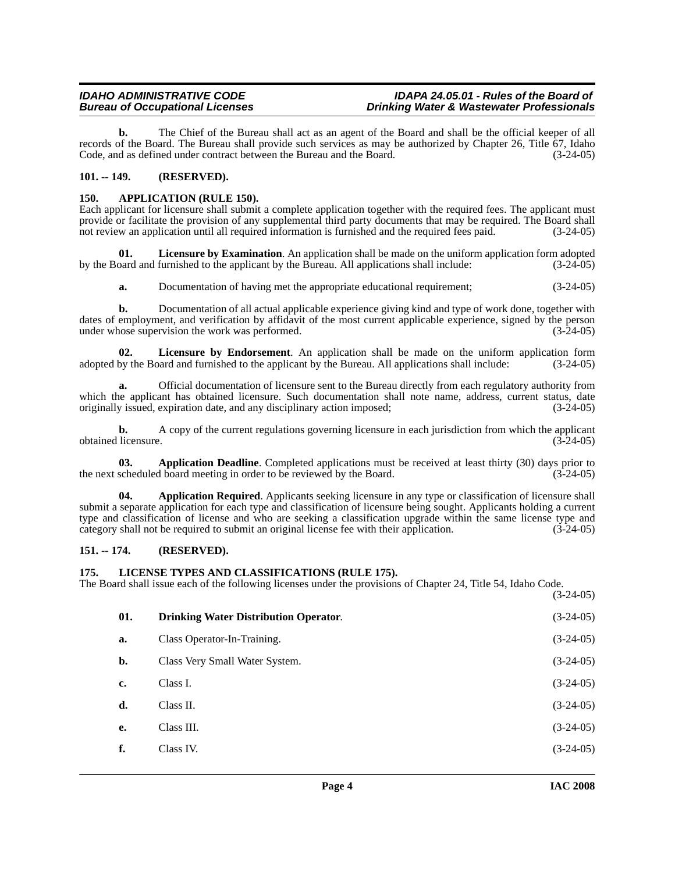**b.** The Chief of the Bureau shall act as an agent of the Board and shall be the official keeper of all records of the Board. The Bureau shall provide such services as may be authorized by Chapter 26, Title 67, Idaho Code, and as defined under contract between the Bureau and the Board. (3-24-05)

#### <span id="page-3-0"></span>**101. -- 149. (RESERVED).**

#### <span id="page-3-4"></span><span id="page-3-1"></span>**150. APPLICATION (RULE 150).**

Each applicant for licensure shall submit a complete application together with the required fees. The applicant must provide or facilitate the provision of any supplemental third party documents that may be required. The Board shall not review an application until all required information is furnished and the required fees paid. (3-24-05)

**01.** Licensure by Examination. An application shall be made on the uniform application form adopted paradent and furnished to the applicant by the Bureau. All applications shall include:  $(3-24-05)$ by the Board and furnished to the applicant by the Bureau. All applications shall include:

<span id="page-3-10"></span><span id="page-3-9"></span>**a.** Documentation of having met the appropriate educational requirement;  $(3-24-05)$ 

**b.** Documentation of all actual applicable experience giving kind and type of work done, together with dates of employment, and verification by affidavit of the most current applicable experience, signed by the person under whose supervision the work was performed. (3-24-05)

**02.** Licensure by Endorsement. An application shall be made on the uniform application form by the Board and furnished to the applicant by the Bureau. All applications shall include:  $(3-24-05)$ adopted by the Board and furnished to the applicant by the Bureau. All applications shall include:

**a.** Official documentation of licensure sent to the Bureau directly from each regulatory authority from which the applicant has obtained licensure. Such documentation shall note name, address, current status, date originally issued, expiration date, and any disciplinary action imposed: (3-24-05) originally issued, expiration date, and any disciplinary action imposed;

**b.** A copy of the current regulations governing licensure in each jurisdiction from which the applicant obtained licensure. (3-24-05)

<span id="page-3-5"></span>**03. Application Deadline**. Completed applications must be received at least thirty (30) days prior to the next scheduled board meeting in order to be reviewed by the Board. (3-24-05)

<span id="page-3-6"></span>**04. Application Required**. Applicants seeking licensure in any type or classification of licensure shall submit a separate application for each type and classification of licensure being sought. Applicants holding a current type and classification of license and who are seeking a classification upgrade within the same license type and category shall not be required to submit an original license fee with their application. (3-24-05)

#### <span id="page-3-2"></span>**151. -- 174. (RESERVED).**

#### <span id="page-3-8"></span><span id="page-3-3"></span>**175. LICENSE TYPES AND CLASSIFICATIONS (RULE 175).**

The Board shall issue each of the following licenses under the provisions of Chapter 24, Title 54, Idaho Code. (3-24-05)

<span id="page-3-7"></span>

| 01. | <b>Drinking Water Distribution Operator.</b> | $(3-24-05)$ |
|-----|----------------------------------------------|-------------|
| a.  | Class Operator-In-Training.                  | $(3-24-05)$ |
| b.  | Class Very Small Water System.               | $(3-24-05)$ |
| c.  | Class I.                                     | $(3-24-05)$ |
| d.  | Class II.                                    | $(3-24-05)$ |
| e.  | Class III.                                   | $(3-24-05)$ |
| f.  | Class IV.                                    | $(3-24-05)$ |
|     |                                              |             |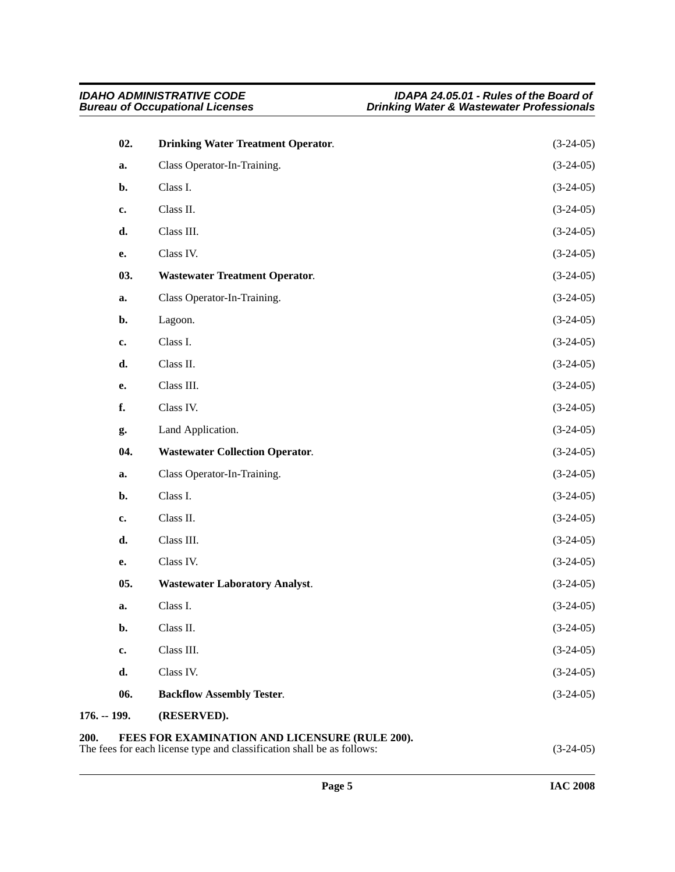<span id="page-4-7"></span><span id="page-4-6"></span><span id="page-4-5"></span><span id="page-4-4"></span><span id="page-4-3"></span><span id="page-4-2"></span><span id="page-4-1"></span><span id="page-4-0"></span>

| 02.           | <b>Drinking Water Treatment Operator.</b>                                                                                               | $(3-24-05)$ |  |  |
|---------------|-----------------------------------------------------------------------------------------------------------------------------------------|-------------|--|--|
| a.            | Class Operator-In-Training.                                                                                                             | $(3-24-05)$ |  |  |
| b.            | Class I.                                                                                                                                | $(3-24-05)$ |  |  |
| c.            | Class II.                                                                                                                               | $(3-24-05)$ |  |  |
| d.            | Class III.                                                                                                                              | $(3-24-05)$ |  |  |
| е.            | Class IV.                                                                                                                               | $(3-24-05)$ |  |  |
| 03.           | <b>Wastewater Treatment Operator.</b>                                                                                                   | $(3-24-05)$ |  |  |
| a.            | Class Operator-In-Training.                                                                                                             | $(3-24-05)$ |  |  |
| b.            | Lagoon.                                                                                                                                 | $(3-24-05)$ |  |  |
| c.            | Class I.                                                                                                                                | $(3-24-05)$ |  |  |
| d.            | Class II.                                                                                                                               | $(3-24-05)$ |  |  |
| е.            | Class III.                                                                                                                              | $(3-24-05)$ |  |  |
| f.            | Class IV.                                                                                                                               | $(3-24-05)$ |  |  |
| g.            | Land Application.                                                                                                                       | $(3-24-05)$ |  |  |
| 04.           | <b>Wastewater Collection Operator.</b>                                                                                                  | $(3-24-05)$ |  |  |
| a.            | Class Operator-In-Training.                                                                                                             | $(3-24-05)$ |  |  |
| b.            | Class I.                                                                                                                                | $(3-24-05)$ |  |  |
| c.            | Class II.                                                                                                                               | $(3-24-05)$ |  |  |
| d.            | Class III.                                                                                                                              | $(3-24-05)$ |  |  |
| е.            | Class IV.                                                                                                                               | $(3-24-05)$ |  |  |
| 05.           | <b>Wastewater Laboratory Analyst.</b>                                                                                                   | $(3-24-05)$ |  |  |
| a.            | Class I.                                                                                                                                | $(3-24-05)$ |  |  |
| b.            | Class II.                                                                                                                               | $(3-24-05)$ |  |  |
| c.            | Class III.                                                                                                                              | $(3-24-05)$ |  |  |
| d.            | Class IV.                                                                                                                               | $(3-24-05)$ |  |  |
| 06.           | <b>Backflow Assembly Tester.</b>                                                                                                        | $(3-24-05)$ |  |  |
| $176. - 199.$ | (RESERVED).                                                                                                                             |             |  |  |
| 200.          | FEES FOR EXAMINATION AND LICENSURE (RULE 200).<br>The fees for each license type and classification shall be as follows:<br>$(3-24-05)$ |             |  |  |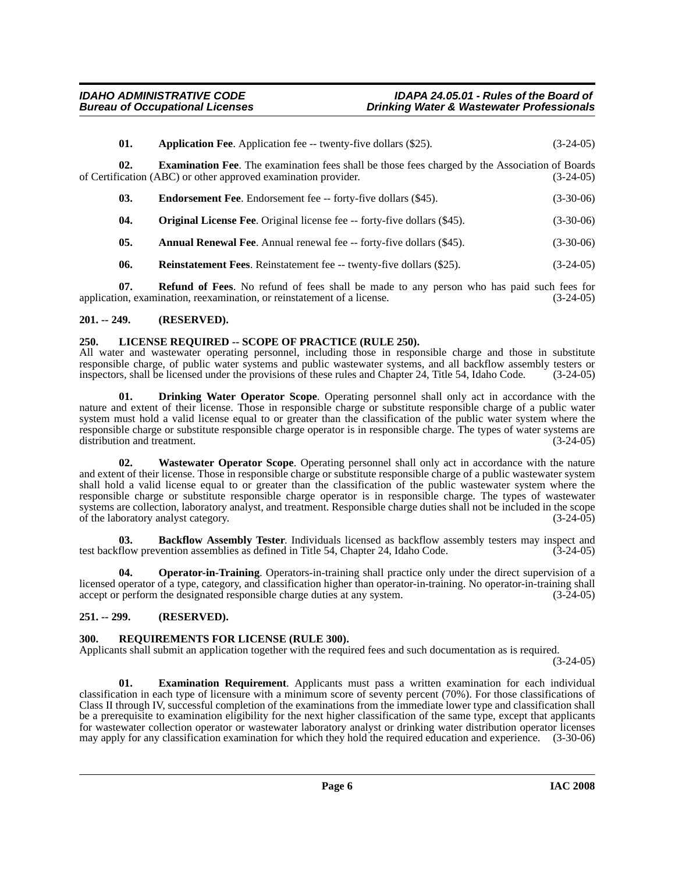| 01. | <b>Application Fee.</b> Application fee -- twenty-five dollars (\$25).                                                                                                  | $(3-24-05)$ |
|-----|-------------------------------------------------------------------------------------------------------------------------------------------------------------------------|-------------|
| 02. | <b>Examination Fee.</b> The examination fees shall be those fees charged by the Association of Boards<br>of Certification (ABC) or other approved examination provider. | $(3-24-05)$ |
| 03. | <b>Endorsement Fee.</b> Endorsement fee -- forty-five dollars (\$45).                                                                                                   | $(3-30-06)$ |

**04.** Original License Fee. Original license fee -- forty-five dollars (\$45). (3-30-06)

**05.** Annual Renewal Fee. Annual renewal fee -- forty-five dollars (\$45). (3-30-06)

**06.** Reinstatement Fees. Reinstatement fee -- twenty-five dollars (\$25). (3-24-05)

**07. Refund of Fees**. No refund of fees shall be made to any person who has paid such fees for application, examination, reexamination, or reinstatement of a license. (3-24-05)

#### <span id="page-5-0"></span>**201. -- 249. (RESERVED).**

#### <span id="page-5-7"></span><span id="page-5-1"></span>**250. LICENSE REQUIRED -- SCOPE OF PRACTICE (RULE 250).**

All water and wastewater operating personnel, including those in responsible charge and those in substitute responsible charge, of public water systems and public wastewater systems, and all backflow assembly testers or<br>inspectors, shall be licensed under the provisions of these rules and Chapter 24. Title 54, Idaho Code. (3-24inspectors, shall be licensed under the provisions of these rules and Chapter 24, Title 54, Idaho Code.

<span id="page-5-5"></span>**01. Drinking Water Operator Scope**. Operating personnel shall only act in accordance with the nature and extent of their license. Those in responsible charge or substitute responsible charge of a public water system must hold a valid license equal to or greater than the classification of the public water system where the responsible charge or substitute responsible charge operator is in responsible charge. The types of water systems are distribution and treatment.

<span id="page-5-10"></span>**02. Wastewater Operator Scope**. Operating personnel shall only act in accordance with the nature and extent of their license. Those in responsible charge or substitute responsible charge of a public wastewater system shall hold a valid license equal to or greater than the classification of the public wastewater system where the responsible charge or substitute responsible charge operator is in responsible charge. The types of wastewater systems are collection, laboratory analyst, and treatment. Responsible charge duties shall not be included in the scope of the laboratory analyst category. (3-24-05)

<span id="page-5-4"></span>**03. Backflow Assembly Tester**. Individuals licensed as backflow assembly testers may inspect and test backflow prevention assemblies as defined in Title 54, Chapter 24, Idaho Code. (3-24-05)

<span id="page-5-8"></span>**Operator-in-Training**. Operators-in-training shall practice only under the direct supervision of a licensed operator of a type, category, and classification higher than operator-in-training. No operator-in-training shall accept or perform the designated responsible charge duties at any system. (3-24-05)

#### <span id="page-5-2"></span>**251. -- 299. (RESERVED).**

#### <span id="page-5-9"></span><span id="page-5-3"></span>**300. REQUIREMENTS FOR LICENSE (RULE 300).**

Applicants shall submit an application together with the required fees and such documentation as is required.

 $(3-24-05)$ 

<span id="page-5-6"></span>**01. Examination Requirement**. Applicants must pass a written examination for each individual classification in each type of licensure with a minimum score of seventy percent (70%). For those classifications of Class II through IV, successful completion of the examinations from the immediate lower type and classification shall be a prerequisite to examination eligibility for the next higher classification of the same type, except that applicants for wastewater collection operator or wastewater laboratory analyst or drinking water distribution operator licenses may apply for any classification examination for which they hold the required education and experience. (3-30-06)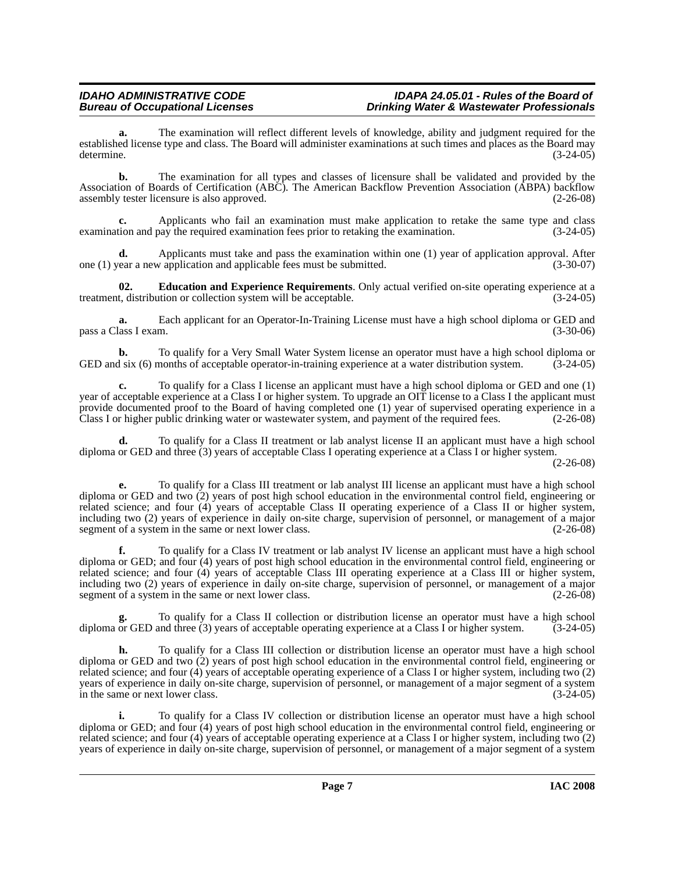**a.** The examination will reflect different levels of knowledge, ability and judgment required for the established license type and class. The Board will administer examinations at such times and places as the Board may determine. (3-24-05)

**b.** The examination for all types and classes of licensure shall be validated and provided by the Association of Boards of Certification (ABC). The American Backflow Prevention Association (ABPA) backflow assembly tester licensure is also approved.

**c.** Applicants who fail an examination must make application to retake the same type and class examination and pay the required examination fees prior to retaking the examination. (3-24-05)

**d.** Applicants must take and pass the examination within one (1) year of application approval. After ear a new application and applicable fees must be submitted. (3-30-07) one  $(1)$  year a new application and applicable fees must be submitted.

<span id="page-6-0"></span>**02. Education and Experience Requirements**. Only actual verified on-site operating experience at a treatment, distribution or collection system will be acceptable.

**a.** Each applicant for an Operator-In-Training License must have a high school diploma or GED and pass a Class I exam. (3-30-06)

**b.** To qualify for a Very Small Water System license an operator must have a high school diploma or d six (6) months of acceptable operator-in-training experience at a water distribution system. (3-24-05) GED and six (6) months of acceptable operator-in-training experience at a water distribution system.

**c.** To qualify for a Class I license an applicant must have a high school diploma or GED and one (1) year of acceptable experience at a Class I or higher system. To upgrade an OIT license to a Class I the applicant must provide documented proof to the Board of having completed one (1) year of supervised operating experience in a Class I or higher public drinking water or wastewater system, and payment of the required fees. (2-26-08)

**d.** To qualify for a Class II treatment or lab analyst license II an applicant must have a high school diploma or GED and three (3) years of acceptable Class I operating experience at a Class I or higher system.

(2-26-08)

**e.** To qualify for a Class III treatment or lab analyst III license an applicant must have a high school diploma or GED and two (2) years of post high school education in the environmental control field, engineering or related science; and four (4) years of acceptable Class II operating experience of a Class II or higher system, including two (2) years of experience in daily on-site charge, supervision of personnel, or management of a major segment of a system in the same or next lower class. (2-26-08)

**f.** To qualify for a Class IV treatment or lab analyst IV license an applicant must have a high school diploma or GED; and four (4) years of post high school education in the environmental control field, engineering or related science; and four (4) years of acceptable Class III operating experience at a Class III or higher system, including two (2) years of experience in daily on-site charge, supervision of personnel, or management of a major segment of a system in the same or next lower class. (2-26-08)

To qualify for a Class II collection or distribution license an operator must have a high school<br>and three (3) years of acceptable operating experience at a Class I or higher system. (3-24-05) diploma or GED and three (3) years of acceptable operating experience at a Class I or higher system.

**h.** To qualify for a Class III collection or distribution license an operator must have a high school diploma or GED and two (2) years of post high school education in the environmental control field, engineering or related science; and four (4) years of acceptable operating experience of a Class I or higher system, including two (2) years of experience in daily on-site charge, supervision of personnel, or management of a major segment of a system in the same or next lower class. (3-24-05)

**i.** To qualify for a Class IV collection or distribution license an operator must have a high school diploma or GED; and four (4) years of post high school education in the environmental control field, engineering or related science; and four (4) years of acceptable operating experience at a Class I or higher system, including two (2) years of experience in daily on-site charge, supervision of personnel, or management of a major segment of a system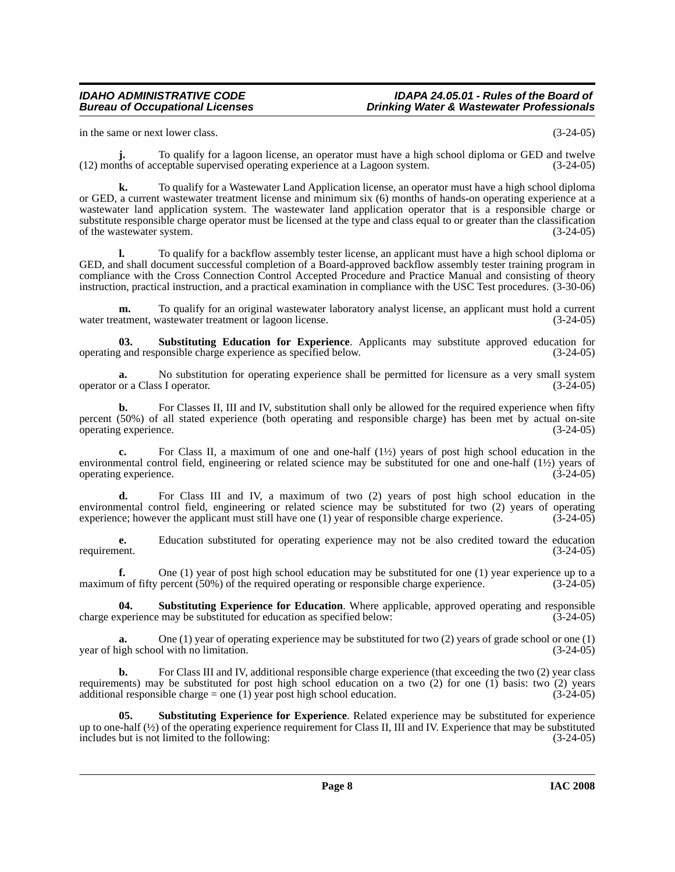in the same or next lower class. (3-24-05)

**j.** To qualify for a lagoon license, an operator must have a high school diploma or GED and twelve (12) months of acceptable supervised operating experience at a Lagoon system. (3-24-05)

**k.** To qualify for a Wastewater Land Application license, an operator must have a high school diploma or GED, a current wastewater treatment license and minimum six (6) months of hands-on operating experience at a wastewater land application system. The wastewater land application operator that is a responsible charge or substitute responsible charge operator must be licensed at the type and class equal to or greater than the classification of the wastewater system. (3-24-05)

**l.** To qualify for a backflow assembly tester license, an applicant must have a high school diploma or GED, and shall document successful completion of a Board-approved backflow assembly tester training program in compliance with the Cross Connection Control Accepted Procedure and Practice Manual and consisting of theory instruction, practical instruction, and a practical examination in compliance with the USC Test procedures. (3-30-06)

**m.** To qualify for an original wastewater laboratory analyst license, an applicant must hold a current water treatment, wastewater treatment or lagoon license. (3-24-05)

<span id="page-7-0"></span>**03. Substituting Education for Experience**. Applicants may substitute approved education for operating and responsible charge experience as specified below. (3-24-05)

**a.** No substitution for operating experience shall be permitted for licensure as a very small system operator or a Class I operator. (3-24-05)

**b.** For Classes II, III and IV, substitution shall only be allowed for the required experience when fifty percent (50%) of all stated experience (both operating and responsible charge) has been met by actual on-site operating experience.

**c.** For Class II, a maximum of one and one-half (1½) years of post high school education in the environmental control field, engineering or related science may be substituted for one and one-half (1½) years of operating experience. (3-24-05)

**d.** For Class III and IV, a maximum of two (2) years of post high school education in the environmental control field, engineering or related science may be substituted for two (2) years of operating experience; however the applicant must still have one (1) year of responsible charge experience. (3-24-05)

**e.** Education substituted for operating experience may not be also credited toward the education requirement. (3-24-05)

**f.** One (1) year of post high school education may be substituted for one (1) year experience up to a maximum of fifty percent (50%) of the required operating or responsible charge experience.  $(3-24-05)$ 

<span id="page-7-1"></span>**04.** Substituting Experience for Education. Where applicable, approved operating and responsible sperience may be substituted for education as specified below: (3-24-05) charge experience may be substituted for education as specified below:

**a.** One (1) year of operating experience may be substituted for two (2) years of grade school or one (1) year of high school with no limitation. (3-24-05)

**b.** For Class III and IV, additional responsible charge experience (that exceeding the two (2) year class requirements) may be substituted for post high school education on a two (2) for one (1) basis: two (2) years additional responsible charge = one (1) year post high school education. (3-24-05)

<span id="page-7-2"></span>**05. Substituting Experience for Experience**. Related experience may be substituted for experience up to one-half ( $\frac{1}{2}$ ) of the operating experience requirement for Class II, III and IV. Experience that may be substituted includes but is not limited to the following: includes but is not limited to the following: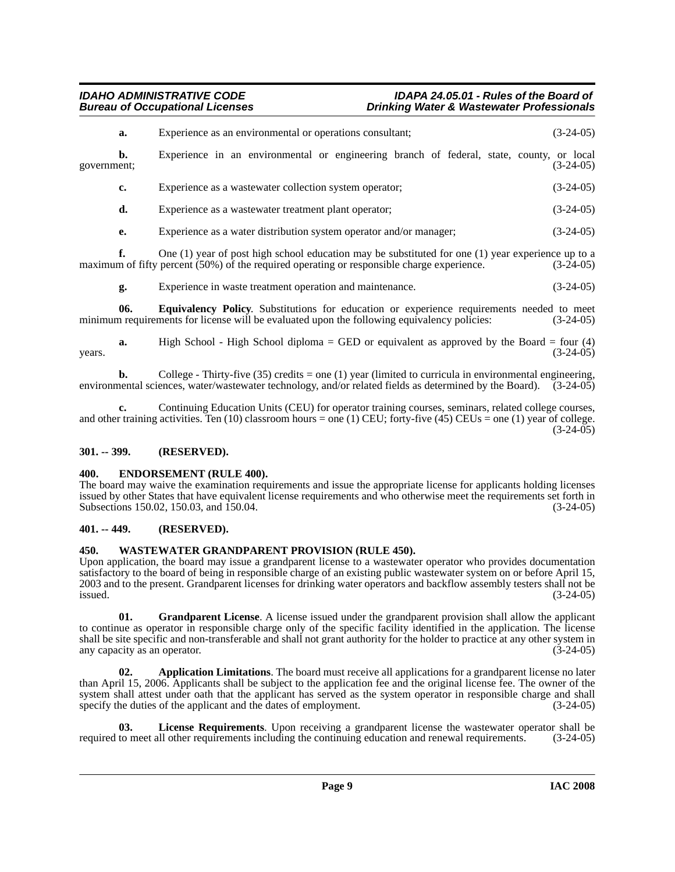## **Drinking Water & Wastewater Professionals**

|             | a. | Experience as an environmental or operations consultant;                                                                                                                                            | $(3-24-05)$ |
|-------------|----|-----------------------------------------------------------------------------------------------------------------------------------------------------------------------------------------------------|-------------|
| government; | b. | Experience in an environmental or engineering branch of federal, state, county, or local                                                                                                            | $(3-24-05)$ |
|             | c. | Experience as a wastewater collection system operator;                                                                                                                                              | $(3-24-05)$ |
|             | d. | Experience as a wastewater treatment plant operator;                                                                                                                                                | $(3-24-05)$ |
|             | e. | Experience as a water distribution system operator and/or manager;                                                                                                                                  | $(3-24-05)$ |
|             |    | One $(1)$ year of post high school education may be substituted for one $(1)$ year experience up to a<br>maximum of fifty percent (50%) of the required operating or responsible charge experience. | $(3-24-05)$ |

<span id="page-8-6"></span>**g.** Experience in waste treatment operation and maintenance. (3-24-05)

**06. Equivalency Policy**. Substitutions for education or experience requirements needed to meet minimum requirements for license will be evaluated upon the following equivalency policies: (3-24-05)

**a.** High School - High School diploma = GED or equivalent as approved by the Board = four (4)  $years.$  (3-24-05)

**b.** College - Thirty-five (35) credits = one (1) year (limited to curricula in environmental engineering, environmental sciences, water/wastewater technology, and/or related fields as determined by the Board). (3-24-05)

**c.** Continuing Education Units (CEU) for operator training courses, seminars, related college courses, and other training activities. Ten (10) classroom hours = one (1) CEU; forty-five (45) CEUs = one (1) year of college.  $(3-24-05)$ 

#### <span id="page-8-0"></span>**301. -- 399. (RESERVED).**

#### <span id="page-8-5"></span><span id="page-8-1"></span>**400. ENDORSEMENT (RULE 400).**

The board may waive the examination requirements and issue the appropriate license for applicants holding licenses issued by other States that have equivalent license requirements and who otherwise meet the requirements set forth in Subsections 150.02, 150.03, and 150.04. Subsections 150.02, 150.03, and 150.04.

#### <span id="page-8-2"></span>**401. -- 449. (RESERVED).**

#### <span id="page-8-9"></span><span id="page-8-3"></span>**450. WASTEWATER GRANDPARENT PROVISION (RULE 450).**

Upon application, the board may issue a grandparent license to a wastewater operator who provides documentation satisfactory to the board of being in responsible charge of an existing public wastewater system on or before April 15, 2003 and to the present. Grandparent licenses for drinking water operators and backflow assembly testers shall not be  $\frac{1}{3}$  issued. (3-24-05)

<span id="page-8-7"></span>**01. Grandparent License**. A license issued under the grandparent provision shall allow the applicant to continue as operator in responsible charge only of the specific facility identified in the application. The license shall be site specific and non-transferable and shall not grant authority for the holder to practice at any other system in any capacity as an operator. (3-24-05)

<span id="page-8-4"></span>**02. Application Limitations**. The board must receive all applications for a grandparent license no later than April 15, 2006. Applicants shall be subject to the application fee and the original license fee. The owner of the system shall attest under oath that the applicant has served as the system operator in responsible charge and shall specify the duties of the applicant and the dates of employment. (3-24-05)

<span id="page-8-8"></span>**03.** License Requirements. Upon receiving a grandparent license the wastewater operator shall be to meet all other requirements including the continuing education and renewal requirements. (3-24-05) required to meet all other requirements including the continuing education and renewal requirements.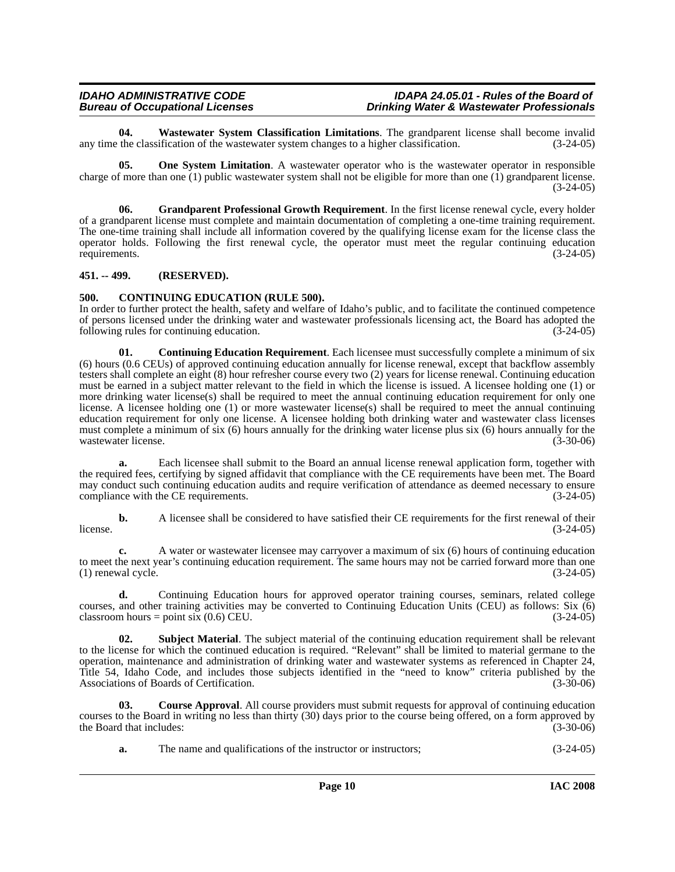<span id="page-9-8"></span>**04.** Wastewater System Classification Limitations. The grandparent license shall become invalid the classification of the wastewater system changes to a higher classification. (3-24-05) any time the classification of the wastewater system changes to a higher classification.

<span id="page-9-6"></span>**05. One System Limitation**. A wastewater operator who is the wastewater operator in responsible charge of more than one  $(1)$  public wastewater system shall not be eligible for more than one  $(1)$  grandparent license.  $(3-24-05)$ 

<span id="page-9-5"></span>**06. Grandparent Professional Growth Requirement**. In the first license renewal cycle, every holder of a grandparent license must complete and maintain documentation of completing a one-time training requirement. The one-time training shall include all information covered by the qualifying license exam for the license class the operator holds. Following the first renewal cycle, the operator must meet the regular continuing education requirements. (3-24-05)

#### <span id="page-9-0"></span>**451. -- 499. (RESERVED).**

### <span id="page-9-2"></span><span id="page-9-1"></span>**500. CONTINUING EDUCATION (RULE 500).**

In order to further protect the health, safety and welfare of Idaho's public, and to facilitate the continued competence of persons licensed under the drinking water and wastewater professionals licensing act, the Board has adopted the following rules for continuing education. (3-24-05)

<span id="page-9-3"></span>**01. Continuing Education Requirement**. Each licensee must successfully complete a minimum of six (6) hours (0.6 CEUs) of approved continuing education annually for license renewal, except that backflow assembly testers shall complete an eight (8) hour refresher course every two (2) years for license renewal. Continuing education must be earned in a subject matter relevant to the field in which the license is issued. A licensee holding one (1) or more drinking water license(s) shall be required to meet the annual continuing education requirement for only one license. A licensee holding one (1) or more wastewater license(s) shall be required to meet the annual continuing education requirement for only one license. A licensee holding both drinking water and wastewater class licenses must complete a minimum of six (6) hours annually for the drinking water license plus six (6) hours annually for the wastewater license. (3-30-06) wastewater license.

**a.** Each licensee shall submit to the Board an annual license renewal application form, together with the required fees, certifying by signed affidavit that compliance with the CE requirements have been met. The Board may conduct such continuing education audits and require verification of attendance as deemed necessary to ensure compliance with the CE requirements. (3-24-05)

**b.** A licensee shall be considered to have satisfied their CE requirements for the first renewal of their (3-24-05)  $l$  (3-24-05)  $(3-24-05)$ 

**c.** A water or wastewater licensee may carryover a maximum of six (6) hours of continuing education to meet the next year's continuing education requirement. The same hours may not be carried forward more than one  $(1)$  renewal cycle.  $(3-24-05)$ 

**d.** Continuing Education hours for approved operator training courses, seminars, related college courses, and other training activities may be converted to Continuing Education Units (CEU) as follows: Six (6)  $\text{classroom hours} = \text{point six } (0.6) \text{ CEU.}$  (3-24-05)

<span id="page-9-7"></span>**02. Subject Material**. The subject material of the continuing education requirement shall be relevant to the license for which the continued education is required. "Relevant" shall be limited to material germane to the operation, maintenance and administration of drinking water and wastewater systems as referenced in Chapter 24, Title 54, Idaho Code, and includes those subjects identified in the "need to know" criteria published by the Associations of Boards of Certification. (3-30-06)

**03. Course Approval**. All course providers must submit requests for approval of continuing education courses to the Board in writing no less than thirty (30) days prior to the course being offered, on a form approved by the Board that includes: (3-30-06) the Board that includes:

<span id="page-9-4"></span>**a.** The name and qualifications of the instructor or instructors; (3-24-05)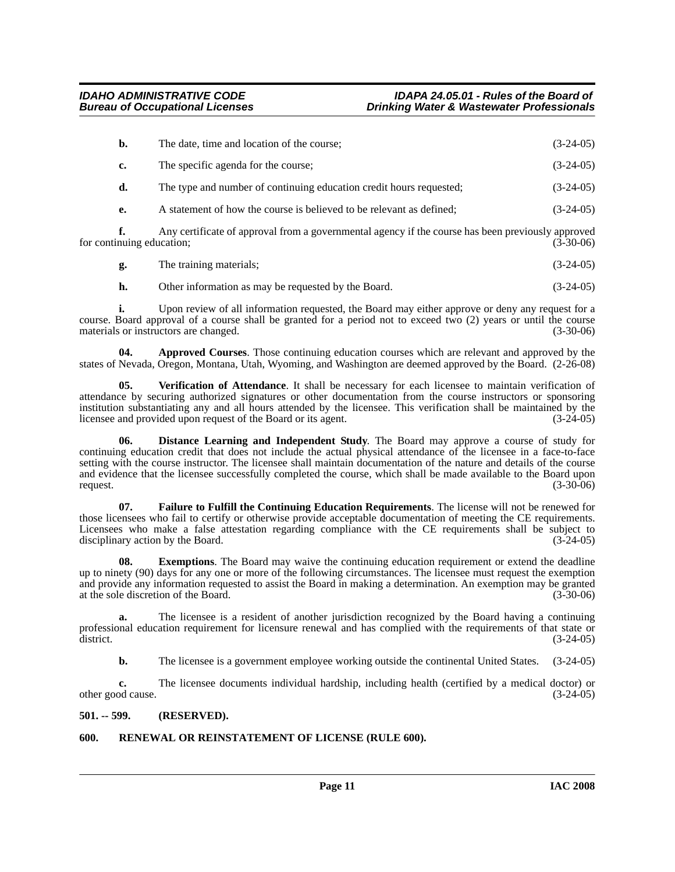| b. | The date, time and location of the course;                                                                        | $(3-24-05)$ |
|----|-------------------------------------------------------------------------------------------------------------------|-------------|
| c. | The specific agenda for the course;                                                                               | $(3-24-05)$ |
| d. | The type and number of continuing education credit hours requested;                                               | $(3-24-05)$ |
| e. | A statement of how the course is believed to be relevant as defined;                                              | $(3-24-05)$ |
|    | $\Lambda$ are contificate of conversed from a corresponded convex if the corresponded head measured and $\Lambda$ |             |

**f.** Any certificate of approval from a governmental agency if the course has been previously approved for continuing education; (3-30-06) (3-30-06)

|  | The training materials; |  | $(3-24-05)$ |
|--|-------------------------|--|-------------|
|--|-------------------------|--|-------------|

<span id="page-10-2"></span>**h.** Other information as may be requested by the Board. (3-24-05)

**i.** Upon review of all information requested, the Board may either approve or deny any request for a course. Board approval of a course shall be granted for a period not to exceed two (2) years or until the course materials or instructors are changed. (3-30-06)

**04. Approved Courses**. Those continuing education courses which are relevant and approved by the states of Nevada, Oregon, Montana, Utah, Wyoming, and Washington are deemed approved by the Board. (2-26-08)

<span id="page-10-7"></span>**05. Verification of Attendance**. It shall be necessary for each licensee to maintain verification of attendance by securing authorized signatures or other documentation from the course instructors or sponsoring institution substantiating any and all hours attended by the licensee. This verification shall be maintained by the licensee and provided upon request of the Board or its agent. (3-24-05)

<span id="page-10-3"></span>**06. Distance Learning and Independent Study**. The Board may approve a course of study for continuing education credit that does not include the actual physical attendance of the licensee in a face-to-face setting with the course instructor. The licensee shall maintain documentation of the nature and details of the course and evidence that the licensee successfully completed the course, which shall be made available to the Board upon request.  $(3-30-06)$ 

<span id="page-10-5"></span>**07. Failure to Fulfill the Continuing Education Requirements**. The license will not be renewed for those licensees who fail to certify or otherwise provide acceptable documentation of meeting the CE requirements. Licensees who make a false attestation regarding compliance with the CE requirements shall be subject to disciplinary action by the Board. (3-24-05)

<span id="page-10-4"></span>**08.** Exemptions. The Board may waive the continuing education requirement or extend the deadline up to ninety (90) days for any one or more of the following circumstances. The licensee must request the exemption and provide any information requested to assist the Board in making a determination. An exemption may be granted at the sole discretion of the Board. (3-30-06)

**a.** The licensee is a resident of another jurisdiction recognized by the Board having a continuing professional education requirement for licensure renewal and has complied with the requirements of that state or district.  $(3-24-05)$ 

**b.** The licensee is a government employee working outside the continental United States.  $(3-24-05)$ 

**c.** The licensee documents individual hardship, including health (certified by a medical doctor) or other good cause. (3-24-05)

#### <span id="page-10-0"></span>**501. -- 599. (RESERVED).**

## <span id="page-10-6"></span><span id="page-10-1"></span>**600. RENEWAL OR REINSTATEMENT OF LICENSE (RULE 600).**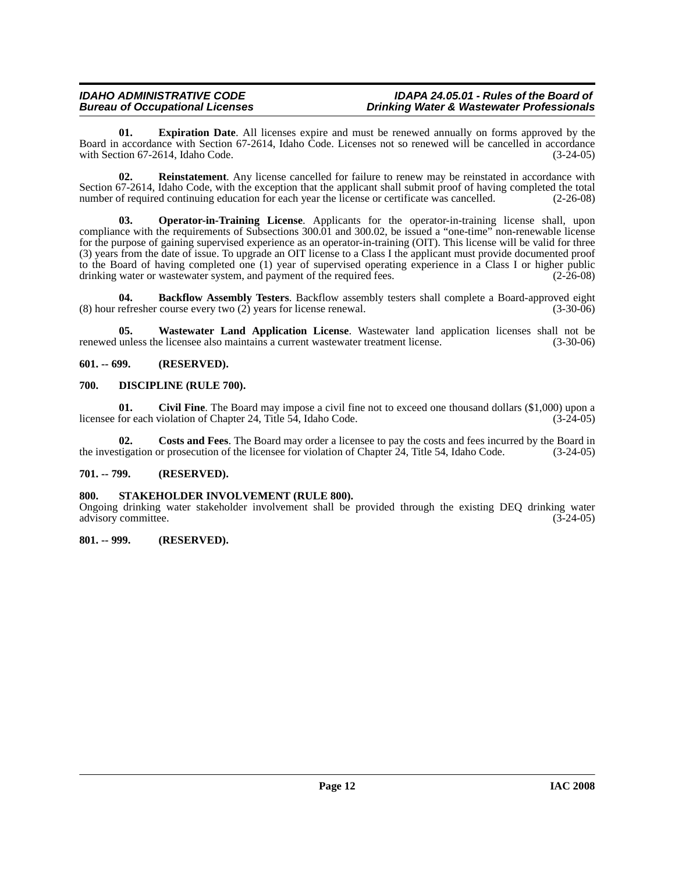<span id="page-11-6"></span>**01. Expiration Date**. All licenses expire and must be renewed annually on forms approved by the Board in accordance with Section 67-2614, Idaho Code. Licenses not so renewed will be cancelled in accordance with Section 67-2614, Idaho Code. (3-24-05)

<span id="page-11-8"></span>**02. Reinstatement**. Any license cancelled for failure to renew may be reinstated in accordance with Section 67-2614, Idaho Code, with the exception that the applicant shall submit proof of having completed the total number of required continuing education for each vear the license or certificate was cancelled. (2-26-08) number of required continuing education for each year the license or certificate was cancelled.

<span id="page-11-7"></span>**03. Operator-in-Training License**. Applicants for the operator-in-training license shall, upon compliance with the requirements of Subsections 300.01 and 300.02, be issued a "one-time" non-renewable license for the purpose of gaining supervised experience as an operator-in-training (OIT). This license will be valid for three (3) years from the date of issue. To upgrade an OIT license to a Class I the applicant must provide documented proof to the Board of having completed one (1) year of supervised operating experience in a Class I or higher public drinking water or wastewater system, and payment of the required fees. (2-26-08)

<span id="page-11-5"></span>**04. Backflow Assembly Testers**. Backflow assembly testers shall complete a Board-approved eight refresher course every two (2) years for license renewal. (3-30-06) (8) hour refresher course every two  $(2)$  years for license renewal.

<span id="page-11-9"></span>**05. Wastewater Land Application License**. Wastewater land application licenses shall not be renewed unless the licensee also maintains a current wastewater treatment license. (3-30-06)

<span id="page-11-0"></span>**601. -- 699. (RESERVED).**

#### <span id="page-11-1"></span>**700. DISCIPLINE (RULE 700).**

**01. Civil Fine**. The Board may impose a civil fine not to exceed one thousand dollars (\$1,000) upon a licensee for each violation of Chapter 24, Title 54, Idaho Code. (3-24-05)

**02. Costs and Fees**. The Board may order a licensee to pay the costs and fees incurred by the Board in the investigation or prosecution of the licensee for violation of Chapter 24, Title 54, Idaho Code. (3-24-05)

#### <span id="page-11-2"></span>**701. -- 799. (RESERVED).**

#### <span id="page-11-3"></span>**800. STAKEHOLDER INVOLVEMENT (RULE 800).**

Ongoing drinking water stakeholder involvement shall be provided through the existing DEQ drinking water advisory committee. (3-24-05)

#### <span id="page-11-4"></span>**801. -- 999. (RESERVED).**